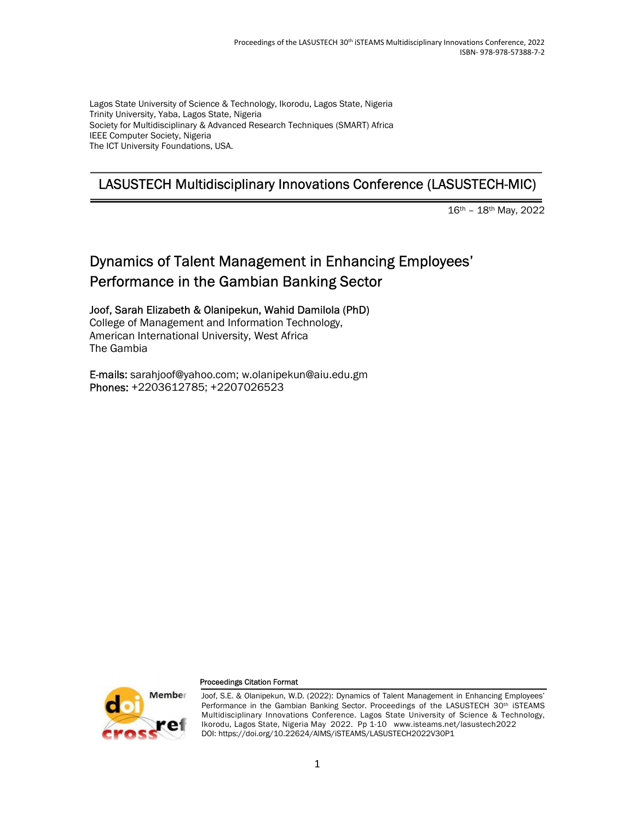Lagos State University of Science & Technology, Ikorodu, Lagos State, Nigeria Trinity University, Yaba, Lagos State, Nigeria Society for Multidisciplinary & Advanced Research Techniques (SMART) Africa IEEE Computer Society, Nigeria The ICT University Foundations, USA.

# LASUSTECH Multidisciplinary Innovations Conference (LASUSTECH-MIC)

16th – 18th May, 2022

# Dynamics of Talent Management in Enhancing Employees' Performance in the Gambian Banking Sector

Joof, Sarah Elizabeth & Olanipekun, Wahid Damilola (PhD) College of Management and Information Technology, American International University, West Africa The Gambia

E-mails: sarahjoof@yahoo.com; w.olanipekun@aiu.edu.gm Phones: +2203612785; +2207026523



#### Proceedings Citation Format

Joof, S.E. & Olanipekun, W.D. (2022): Dynamics of Talent Management in Enhancing Employees' Performance in the Gambian Banking Sector. Proceedings of the LASUSTECH 30<sup>th</sup> iSTEAMS Multidisciplinary Innovations Conference. Lagos State University of Science & Technology, Ikorodu, Lagos State, Nigeria May 2022. Pp 1-10 www.isteams.net/lasustech2022 DOI: https://doi.org/10.22624/AIMS/iSTEAMS/LASUSTECH2022V30P1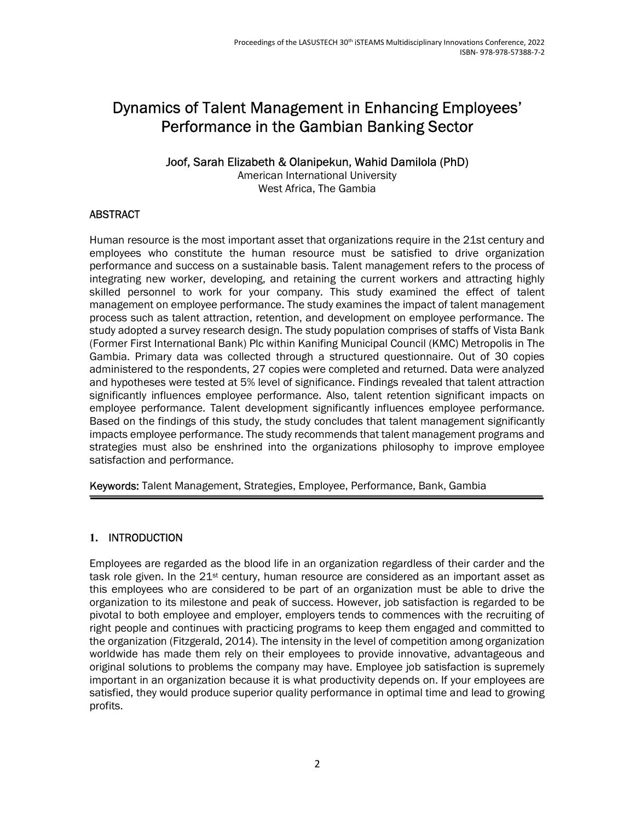# Dynamics of Talent Management in Enhancing Employees' Performance in the Gambian Banking Sector

#### Joof, Sarah Elizabeth & Olanipekun, Wahid Damilola (PhD)

American International University West Africa, The Gambia

# **ABSTRACT**

Human resource is the most important asset that organizations require in the 21st century and employees who constitute the human resource must be satisfied to drive organization performance and success on a sustainable basis. Talent management refers to the process of integrating new worker, developing, and retaining the current workers and attracting highly skilled personnel to work for your company. This study examined the effect of talent management on employee performance. The study examines the impact of talent management process such as talent attraction, retention, and development on employee performance. The study adopted a survey research design. The study population comprises of staffs of Vista Bank (Former First International Bank) Plc within Kanifing Municipal Council (KMC) Metropolis in The Gambia. Primary data was collected through a structured questionnaire. Out of 30 copies administered to the respondents, 27 copies were completed and returned. Data were analyzed and hypotheses were tested at 5% level of significance. Findings revealed that talent attraction significantly influences employee performance. Also, talent retention significant impacts on employee performance. Talent development significantly influences employee performance. Based on the findings of this study, the study concludes that talent management significantly impacts employee performance. The study recommends that talent management programs and strategies must also be enshrined into the organizations philosophy to improve employee satisfaction and performance.

Keywords: Talent Management, Strategies, Employee, Performance, Bank, Gambia

#### 1. INTRODUCTION

Employees are regarded as the blood life in an organization regardless of their carder and the task role given. In the  $21^{st}$  century, human resource are considered as an important asset as this employees who are considered to be part of an organization must be able to drive the organization to its milestone and peak of success. However, job satisfaction is regarded to be pivotal to both employee and employer, employers tends to commences with the recruiting of right people and continues with practicing programs to keep them engaged and committed to the organization (Fitzgerald, 2014). The intensity in the level of competition among organization worldwide has made them rely on their employees to provide innovative, advantageous and original solutions to problems the company may have. Employee job satisfaction is supremely important in an organization because it is what productivity depends on. If your employees are satisfied, they would produce superior quality performance in optimal time and lead to growing profits.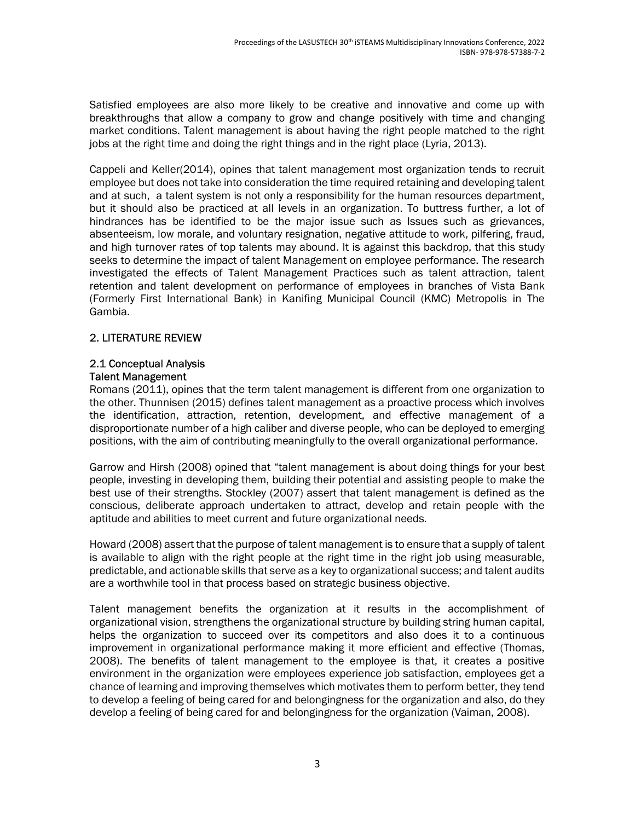Satisfied employees are also more likely to be creative and innovative and come up with breakthroughs that allow a company to grow and change positively with time and changing market conditions. Talent management is about having the right people matched to the right jobs at the right time and doing the right things and in the right place (Lyria, 2013).

Cappeli and Keller(2014), opines that talent management most organization tends to recruit employee but does not take into consideration the time required retaining and developing talent and at such, a talent system is not only a responsibility for the human resources department, but it should also be practiced at all levels in an organization. To buttress further, a lot of hindrances has be identified to be the major issue such as Issues such as grievances, absenteeism, low morale, and voluntary resignation, negative attitude to work, pilfering, fraud, and high turnover rates of top talents may abound. It is against this backdrop, that this study seeks to determine the impact of talent Management on employee performance. The research investigated the effects of Talent Management Practices such as talent attraction, talent retention and talent development on performance of employees in branches of Vista Bank (Formerly First International Bank) in Kanifing Municipal Council (KMC) Metropolis in The Gambia.

#### 2. LITERATURE REVIEW

#### 2.1 Conceptual Analysis Talent Management

Romans (2011), opines that the term talent management is different from one organization to the other. Thunnisen (2015) defines talent management as a proactive process which involves the identification, attraction, retention, development, and effective management of a disproportionate number of a high caliber and diverse people, who can be deployed to emerging positions, with the aim of contributing meaningfully to the overall organizational performance.

Garrow and Hirsh (2008) opined that "talent management is about doing things for your best people, investing in developing them, building their potential and assisting people to make the best use of their strengths. Stockley (2007) assert that talent management is defined as the conscious, deliberate approach undertaken to attract, develop and retain people with the aptitude and abilities to meet current and future organizational needs.

Howard (2008) assert that the purpose of talent management is to ensure that a supply of talent is available to align with the right people at the right time in the right job using measurable, predictable, and actionable skills that serve as a key to organizational success; and talent audits are a worthwhile tool in that process based on strategic business objective.

Talent management benefits the organization at it results in the accomplishment of organizational vision, strengthens the organizational structure by building string human capital, helps the organization to succeed over its competitors and also does it to a continuous improvement in organizational performance making it more efficient and effective (Thomas, 2008). The benefits of talent management to the employee is that, it creates a positive environment in the organization were employees experience job satisfaction, employees get a chance of learning and improving themselves which motivates them to perform better, they tend to develop a feeling of being cared for and belongingness for the organization and also, do they develop a feeling of being cared for and belongingness for the organization (Vaiman, 2008).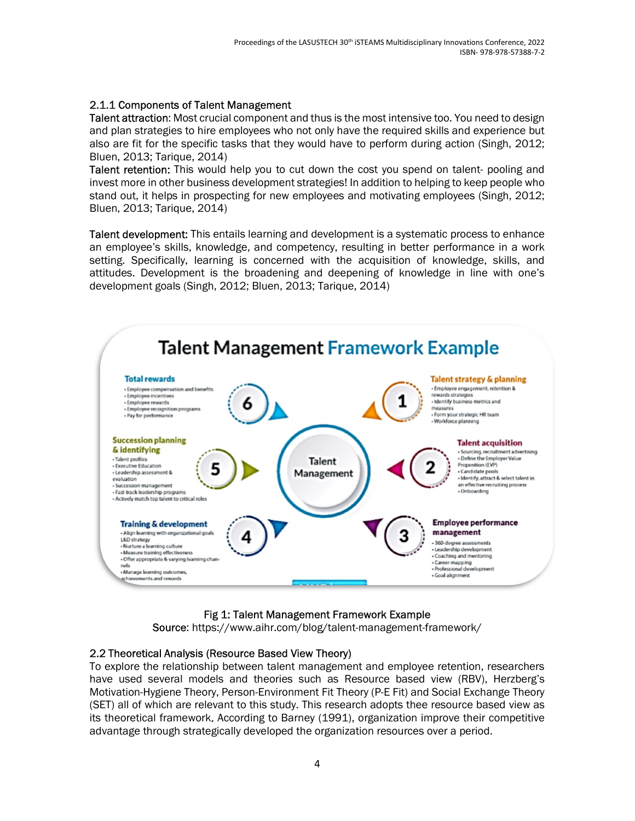### 2.1.1 Components of Talent Management

Talent attraction: Most crucial component and thus is the most intensive too. You need to design and plan strategies to hire employees who not only have the required skills and experience but also are fit for the specific tasks that they would have to perform during action (Singh, 2012; Bluen, 2013; Tarique, 2014)

Talent retention: This would help you to cut down the cost you spend on talent- pooling and invest more in other business development strategies! In addition to helping to keep people who stand out, it helps in prospecting for new employees and motivating employees (Singh, 2012; Bluen, 2013; Tarique, 2014)

Talent development: This entails learning and development is a systematic process to enhance an employee's skills, knowledge, and competency, resulting in better performance in a work setting. Specifically, learning is concerned with the acquisition of knowledge, skills, and attitudes. Development is the broadening and deepening of knowledge in line with one's development goals (Singh, 2012; Bluen, 2013; Tarique, 2014)



# Fig 1: Talent Management Framework Example

Source: https://www.aihr.com/blog/talent-management-framework/

#### 2.2 Theoretical Analysis (Resource Based View Theory)

To explore the relationship between talent management and employee retention, researchers have used several models and theories such as Resource based view (RBV), Herzberg's Motivation-Hygiene Theory, Person-Environment Fit Theory (P-E Fit) and Social Exchange Theory (SET) all of which are relevant to this study. This research adopts thee resource based view as its theoretical framework. According to Barney (1991), organization improve their competitive advantage through strategically developed the organization resources over a period.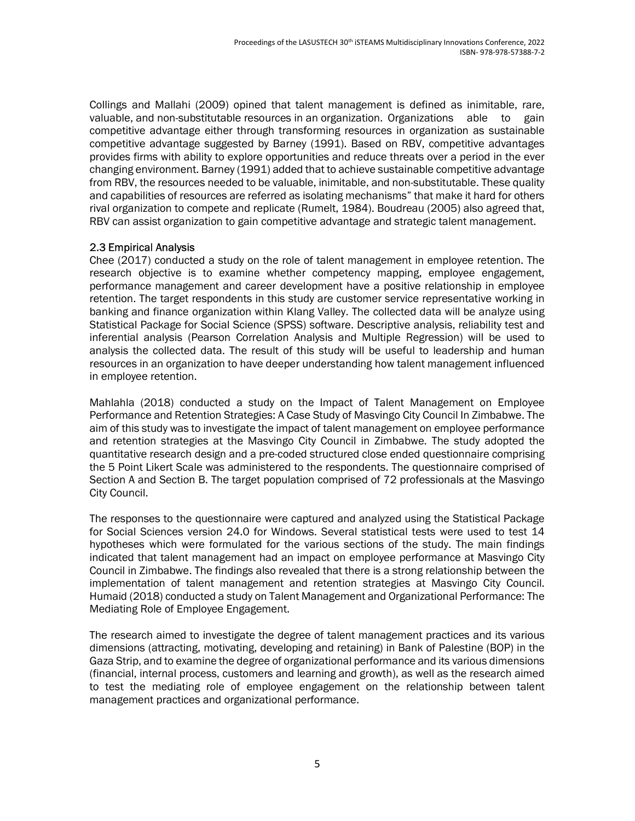Collings and Mallahi (2009) opined that talent management is defined as inimitable, rare, valuable, and non-substitutable resources in an organization. Organizations able to gain competitive advantage either through transforming resources in organization as sustainable competitive advantage suggested by Barney (1991). Based on RBV, competitive advantages provides firms with ability to explore opportunities and reduce threats over a period in the ever changing environment. Barney (1991) added that to achieve sustainable competitive advantage from RBV, the resources needed to be valuable, inimitable, and non-substitutable. These quality and capabilities of resources are referred as isolating mechanisms" that make it hard for others rival organization to compete and replicate (Rumelt, 1984). Boudreau (2005) also agreed that, RBV can assist organization to gain competitive advantage and strategic talent management.

#### 2.3 Empirical Analysis

Chee (2017) conducted a study on the role of talent management in employee retention. The research objective is to examine whether competency mapping, employee engagement, performance management and career development have a positive relationship in employee retention. The target respondents in this study are customer service representative working in banking and finance organization within Klang Valley. The collected data will be analyze using Statistical Package for Social Science (SPSS) software. Descriptive analysis, reliability test and inferential analysis (Pearson Correlation Analysis and Multiple Regression) will be used to analysis the collected data. The result of this study will be useful to leadership and human resources in an organization to have deeper understanding how talent management influenced in employee retention.

Mahlahla (2018) conducted a study on the Impact of Talent Management on Employee Performance and Retention Strategies: A Case Study of Masvingo City Council In Zimbabwe. The aim of this study was to investigate the impact of talent management on employee performance and retention strategies at the Masvingo City Council in Zimbabwe. The study adopted the quantitative research design and a pre-coded structured close ended questionnaire comprising the 5 Point Likert Scale was administered to the respondents. The questionnaire comprised of Section A and Section B. The target population comprised of 72 professionals at the Masvingo City Council.

The responses to the questionnaire were captured and analyzed using the Statistical Package for Social Sciences version 24.0 for Windows. Several statistical tests were used to test 14 hypotheses which were formulated for the various sections of the study. The main findings indicated that talent management had an impact on employee performance at Masvingo City Council in Zimbabwe. The findings also revealed that there is a strong relationship between the implementation of talent management and retention strategies at Masvingo City Council. Humaid (2018) conducted a study on Talent Management and Organizational Performance: The Mediating Role of Employee Engagement.

The research aimed to investigate the degree of talent management practices and its various dimensions (attracting, motivating, developing and retaining) in Bank of Palestine (BOP) in the Gaza Strip, and to examine the degree of organizational performance and its various dimensions (financial, internal process, customers and learning and growth), as well as the research aimed to test the mediating role of employee engagement on the relationship between talent management practices and organizational performance.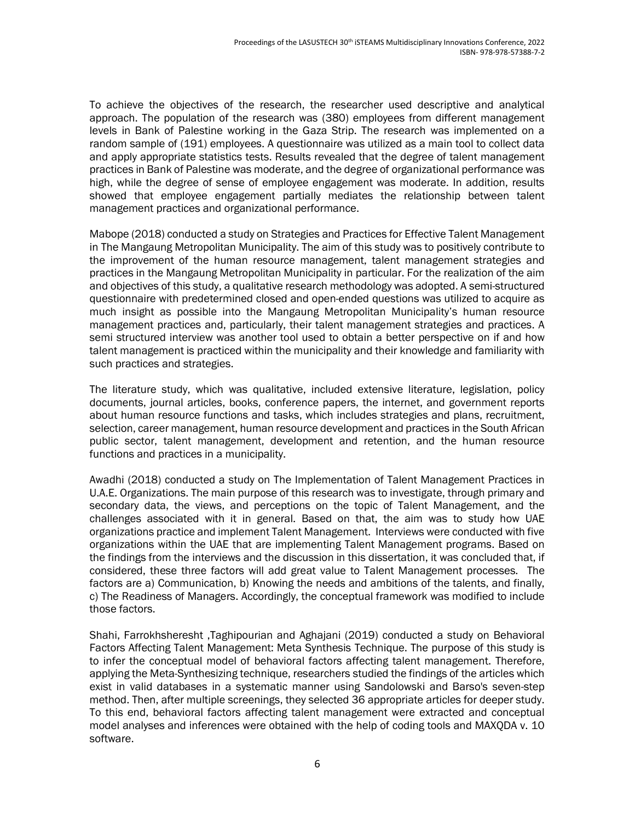To achieve the objectives of the research, the researcher used descriptive and analytical approach. The population of the research was (380) employees from different management levels in Bank of Palestine working in the Gaza Strip. The research was implemented on a random sample of (191) employees. A questionnaire was utilized as a main tool to collect data and apply appropriate statistics tests. Results revealed that the degree of talent management practices in Bank of Palestine was moderate, and the degree of organizational performance was high, while the degree of sense of employee engagement was moderate. In addition, results showed that employee engagement partially mediates the relationship between talent management practices and organizational performance.

Mabope (2018) conducted a study on Strategies and Practices for Effective Talent Management in The Mangaung Metropolitan Municipality. The aim of this study was to positively contribute to the improvement of the human resource management, talent management strategies and practices in the Mangaung Metropolitan Municipality in particular. For the realization of the aim and objectives of this study, a qualitative research methodology was adopted. A semi-structured questionnaire with predetermined closed and open-ended questions was utilized to acquire as much insight as possible into the Mangaung Metropolitan Municipality's human resource management practices and, particularly, their talent management strategies and practices. A semi structured interview was another tool used to obtain a better perspective on if and how talent management is practiced within the municipality and their knowledge and familiarity with such practices and strategies.

The literature study, which was qualitative, included extensive literature, legislation, policy documents, journal articles, books, conference papers, the internet, and government reports about human resource functions and tasks, which includes strategies and plans, recruitment, selection, career management, human resource development and practices in the South African public sector, talent management, development and retention, and the human resource functions and practices in a municipality.

Awadhi (2018) conducted a study on The Implementation of Talent Management Practices in U.A.E. Organizations. The main purpose of this research was to investigate, through primary and secondary data, the views, and perceptions on the topic of Talent Management, and the challenges associated with it in general. Based on that, the aim was to study how UAE organizations practice and implement Talent Management. Interviews were conducted with five organizations within the UAE that are implementing Talent Management programs. Based on the findings from the interviews and the discussion in this dissertation, it was concluded that, if considered, these three factors will add great value to Talent Management processes. The factors are a) Communication, b) Knowing the needs and ambitions of the talents, and finally, c) The Readiness of Managers. Accordingly, the conceptual framework was modified to include those factors.

Shahi, Farrokhsheresht ,Taghipourian and Aghajani (2019) conducted a study on Behavioral Factors Affecting Talent Management: Meta Synthesis Technique. The purpose of this study is to infer the conceptual model of behavioral factors affecting talent management. Therefore, applying the Meta-Synthesizing technique, researchers studied the findings of the articles which exist in valid databases in a systematic manner using Sandolowski and Barso's seven-step method. Then, after multiple screenings, they selected 36 appropriate articles for deeper study. To this end, behavioral factors affecting talent management were extracted and conceptual model analyses and inferences were obtained with the help of coding tools and MAXQDA v. 10 software.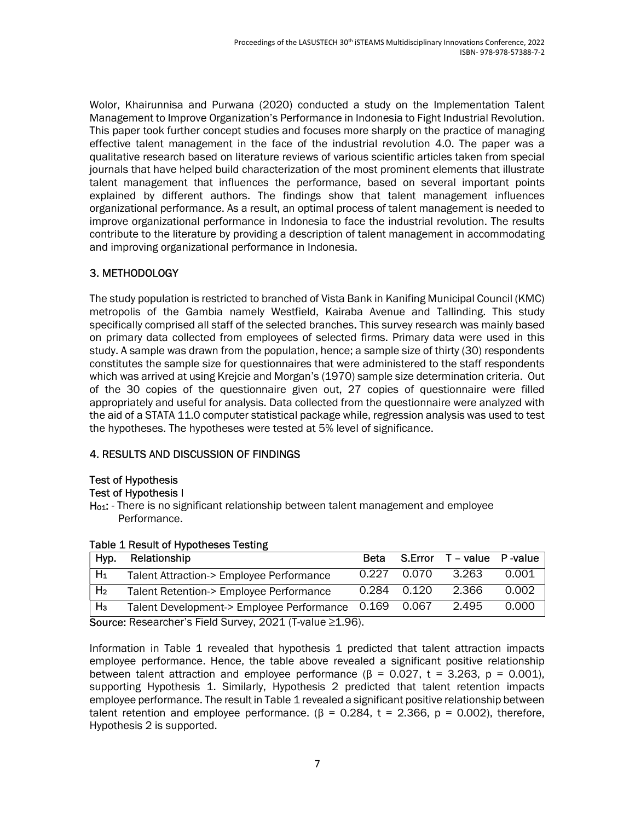Wolor, Khairunnisa and Purwana (2020) conducted a study on the Implementation Talent Management to Improve Organization's Performance in Indonesia to Fight Industrial Revolution. This paper took further concept studies and focuses more sharply on the practice of managing effective talent management in the face of the industrial revolution 4.0. The paper was a qualitative research based on literature reviews of various scientific articles taken from special journals that have helped build characterization of the most prominent elements that illustrate talent management that influences the performance, based on several important points explained by different authors. The findings show that talent management influences organizational performance. As a result, an optimal process of talent management is needed to improve organizational performance in Indonesia to face the industrial revolution. The results contribute to the literature by providing a description of talent management in accommodating and improving organizational performance in Indonesia.

# 3. METHODOLOGY

The study population is restricted to branched of Vista Bank in Kanifing Municipal Council (KMC) metropolis of the Gambia namely Westfield, Kairaba Avenue and Tallinding. This study specifically comprised all staff of the selected branches. This survey research was mainly based on primary data collected from employees of selected firms. Primary data were used in this study. A sample was drawn from the population, hence; a sample size of thirty (30) respondents constitutes the sample size for questionnaires that were administered to the staff respondents which was arrived at using Krejcie and Morgan's (1970) sample size determination criteria. Out of the 30 copies of the questionnaire given out, 27 copies of questionnaire were filled appropriately and useful for analysis. Data collected from the questionnaire were analyzed with the aid of a STATA 11.0 computer statistical package while, regression analysis was used to test the hypotheses. The hypotheses were tested at 5% level of significance.

# 4. RESULTS AND DISCUSSION OF FINDINGS

# Test of Hypothesis

# Test of Hypothesis I

Ho<sub>1</sub>: - There is no significant relationship between talent management and employee Performance.

| Hyp.                                                                                                                                                                                                                                                                                                                                                        | Relationship                                          | <b>Beta</b> |             | S.Error T - value P-value |       |
|-------------------------------------------------------------------------------------------------------------------------------------------------------------------------------------------------------------------------------------------------------------------------------------------------------------------------------------------------------------|-------------------------------------------------------|-------------|-------------|---------------------------|-------|
| $H_1$                                                                                                                                                                                                                                                                                                                                                       | Talent Attraction-> Employee Performance              | 0.227       | 0.070       | 3.263                     | 0.001 |
| H <sub>2</sub>                                                                                                                                                                                                                                                                                                                                              | Talent Retention-> Employee Performance               |             | 0.284 0.120 | 2.366                     | 0.002 |
| $H_3$                                                                                                                                                                                                                                                                                                                                                       | Talent Development-> Employee Performance 0.169 0.067 |             |             | 2.495                     | 0.000 |
| $\mathcal{L}$ $\mathcal{L}$ $\mathcal{L}$ $\mathcal{L}$ $\mathcal{L}$ $\mathcal{L}$ $\mathcal{L}$ $\mathcal{L}$ $\mathcal{L}$ $\mathcal{L}$ $\mathcal{L}$ $\mathcal{L}$ $\mathcal{L}$ $\mathcal{L}$ $\mathcal{L}$ $\mathcal{L}$ $\mathcal{L}$ $\mathcal{L}$ $\mathcal{L}$ $\mathcal{L}$ $\mathcal{L}$ $\mathcal{L}$ $\mathcal{L}$ $\mathcal{L}$ $\mathcal{$ |                                                       |             |             |                           |       |

#### Table 1 Result of Hypotheses Testing

Source: Researcher's Field Survey, 2021 (T-value ≥1.96).

Information in Table 1 revealed that hypothesis 1 predicted that talent attraction impacts employee performance. Hence, the table above revealed a significant positive relationship between talent attraction and employee performance ( $\beta$  = 0.027, t = 3.263, p = 0.001), supporting Hypothesis 1. Similarly, Hypothesis 2 predicted that talent retention impacts employee performance. The result in Table 1 revealed a significant positive relationship between talent retention and employee performance.  $(\beta = 0.284, t = 2.366, p = 0.002)$ , therefore, Hypothesis 2 is supported.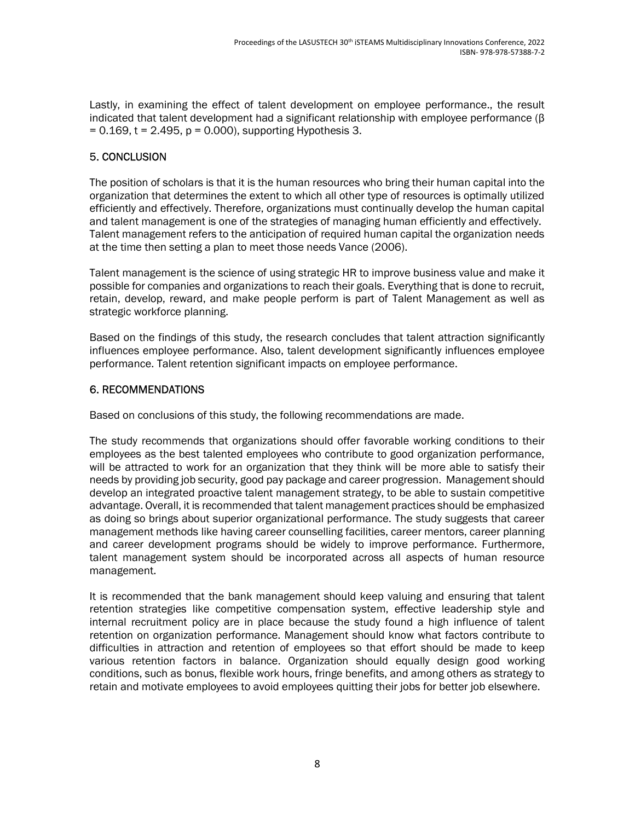Lastly, in examining the effect of talent development on employee performance., the result indicated that talent development had a significant relationship with employee performance (β  $= 0.169$ , t = 2.495, p = 0.000), supporting Hypothesis 3.

# 5. CONCLUSION

The position of scholars is that it is the human resources who bring their human capital into the organization that determines the extent to which all other type of resources is optimally utilized efficiently and effectively. Therefore, organizations must continually develop the human capital and talent management is one of the strategies of managing human efficiently and effectively. Talent management refers to the anticipation of required human capital the organization needs at the time then setting a plan to meet those needs Vance (2006).

Talent management is the science of using strategic HR to improve business value and make it possible for companies and organizations to reach their goals. Everything that is done to recruit, retain, develop, reward, and make people perform is part of Talent Management as well as strategic workforce planning.

Based on the findings of this study, the research concludes that talent attraction significantly influences employee performance. Also, talent development significantly influences employee performance. Talent retention significant impacts on employee performance.

#### 6. RECOMMENDATIONS

Based on conclusions of this study, the following recommendations are made.

The study recommends that organizations should offer favorable working conditions to their employees as the best talented employees who contribute to good organization performance, will be attracted to work for an organization that they think will be more able to satisfy their needs by providing job security, good pay package and career progression. Management should develop an integrated proactive talent management strategy, to be able to sustain competitive advantage. Overall, it is recommended that talent management practices should be emphasized as doing so brings about superior organizational performance. The study suggests that career management methods like having career counselling facilities, career mentors, career planning and career development programs should be widely to improve performance. Furthermore, talent management system should be incorporated across all aspects of human resource management.

It is recommended that the bank management should keep valuing and ensuring that talent retention strategies like competitive compensation system, effective leadership style and internal recruitment policy are in place because the study found a high influence of talent retention on organization performance. Management should know what factors contribute to difficulties in attraction and retention of employees so that effort should be made to keep various retention factors in balance. Organization should equally design good working conditions, such as bonus, flexible work hours, fringe benefits, and among others as strategy to retain and motivate employees to avoid employees quitting their jobs for better job elsewhere.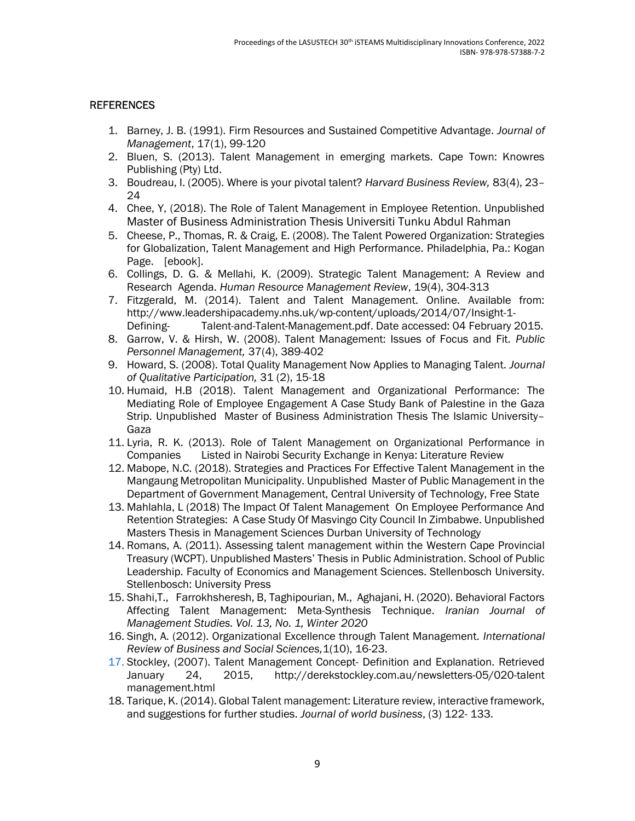#### **REFERENCES**

- 1. Barney, J. B. (1991). Firm Resources and Sustained Competitive Advantage. Journal of Management, 17(1), 99-120
- 2. Bluen, S. (2013). Talent Management in emerging markets. Cape Town: Knowres Publishing (Pty) Ltd.
- 3. Boudreau, I. (2005). Where is your pivotal talent? Harvard Business Review, 83(4), 23– 24
- 4. Chee, Y, (2018). The Role of Talent Management in Employee Retention. Unpublished Master of Business Administration Thesis Universiti Tunku Abdul Rahman
- 5. Cheese, P., Thomas, R. & Craig, E. (2008). The Talent Powered Organization: Strategies for Globalization, Talent Management and High Performance. Philadelphia, Pa.: Kogan Page. [ebook].
- 6. Collings, D. G. & Mellahi, K. (2009). Strategic Talent Management: A Review and Research Agenda. Human Resource Management Review, 19(4), 304-313
- 7. Fitzgerald, M. (2014). Talent and Talent Management. Online. Available from: http://www.leadershipacademy.nhs.uk/wp-content/uploads/2014/07/Insight-1- Defining- Talent-and-Talent-Management.pdf. Date accessed: 04 February 2015.
- 8. Garrow, V. & Hirsh, W. (2008). Talent Management: Issues of Focus and Fit. Public Personnel Management, 37(4), 389-402
- 9. Howard, S. (2008). Total Quality Management Now Applies to Managing Talent. Journal of Qualitative Participation, 31 (2), 15-18
- 10. Humaid, H.B (2018). Talent Management and Organizational Performance: The Mediating Role of Employee Engagement A Case Study Bank of Palestine in the Gaza Strip. Unpublished Master of Business Administration Thesis The Islamic University– Gaza
- 11. Lyria, R. K. (2013). Role of Talent Management on Organizational Performance in Companies Listed in Nairobi Security Exchange in Kenya: Literature Review
- 12. Mabope, N.C. (2018). Strategies and Practices For Effective Talent Management in the Mangaung Metropolitan Municipality. Unpublished Master of Public Management in the Department of Government Management, Central University of Technology, Free State
- 13. Mahlahla, L (2018) The Impact Of Talent Management On Employee Performance And Retention Strategies: A Case Study Of Masvingo City Council In Zimbabwe. Unpublished Masters Thesis in Management Sciences Durban University of Technology
- 14. Romans, A. (2011). Assessing talent management within the Western Cape Provincial Treasury (WCPT). Unpublished Masters' Thesis in Public Administration. School of Public Leadership. Faculty of Economics and Management Sciences. Stellenbosch University. Stellenbosch: University Press
- 15. Shahi,T., Farrokhsheresh, B, Taghipourian, M., Aghajani, H. (2020). Behavioral Factors Affecting Talent Management: Meta-Synthesis Technique. Iranian Journal of Management Studies. Vol. 13, No. 1, Winter 2020
- 16. Singh, A. (2012). Organizational Excellence through Talent Management. International Review of Business and Social Sciences, 1(10), 16-23.
- 17. Stockley, (2007). Talent Management Concept- Definition and Explanation. Retrieved January 24, 2015, http://derekstockley.com.au/newsletters-05/020-talent management.html
- 18. Tarique, K. (2014). Global Talent management: Literature review, interactive framework, and suggestions for further studies. Journal of world business, (3) 122- 133.